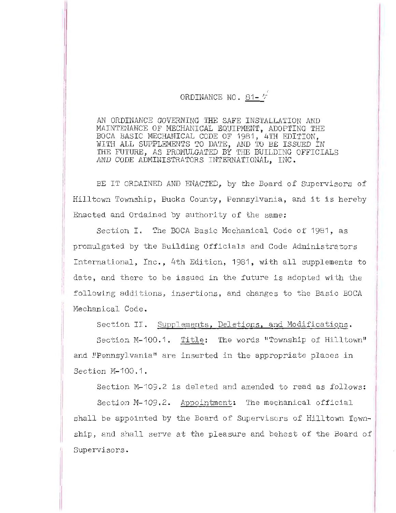## ORDINANCE NO. 81-  $\tau$

AN ORDINANCE GOVERNING THE SAFE INSTALLATION AND MAINTENANCE OF MECHANICAL EQUIPMENT, ADOPTING THE BOCA BASIC MECHANICAL CODE OF 1981, 4TH EDITION, WITH ALL SUPPLEMENTS TO DATE, AND TO BE ISSUED IN THE FUTURE, AS PROMULGATED BY THE BUILDING OFFICIALS AND CODE ADMINISTRATORS INTERNATIONAL, INC.

BE IT ORDAINED AND ENACTED. by the Board of Supervisors of Hilltown Township, Bucks County, Pennsylvania, and it is hereby Enacted and Ordained by authority of the same:

Section I. The BOCA Basic Mechanical Code of 1981, as promulgated by the Building Officials and Code Administrators International, Inc., 4th Edition, 1981, with all supplements to date, and there to be issued in the future is adopted with the following additions, insertions, and changes to the Basic BOCA Mechanical Code.

Section II. Supplements, Deletions, and Modifications.

Section M-100.1. Title: The words "Township of Hilltown" and "Pennsylvania" are inserted in the appropriate places in Section M-100.1.

Section M-109.2 is deleted and amended to read as follows:

Section M-109.2. Appointment: The mechanical official shall be appointed by the Board of Supervisors of Hilltown Township, and shall serve at the pleasure and behest of the Board of Supervisors.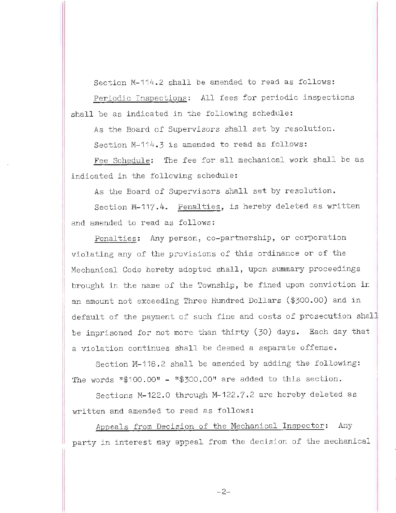Section M-114.2 shall be amended to read as follows: Periodic Inspections: All fees for periodic inspections shall be as indicated in the following schedule:

As the Board of Supervisors shall set by resolution. Section M-114.3 is amended to read as follows:

Fee Schedule: The fee for all mechanical work shall be as indicated in the following schedule:

As the Board of Supervisors shall set by resolution.

Section M-117.4. Penalties, is hereby deleted as written and amended to read as follows:

Penalties: Any person, co-partnership, or corporation violating any of the provisions of this ordinance or of the Mechanical Code hereby adopted shall, upon summary proceedings brought in the name of the Township, be fined upon conviction in an amount not exceeding Three Hundred Dollars (\$300.00) and in default of the payment of such fine and costs of prosecution shall be imprisoned for not more than thirty (30) days. Each day that a violation continues shall be deemed a separate offense.

Section M-118.2 shall be amended by adding the following: The words  $1\frac{100}{100}$ .00" -  $1\frac{100}{100}$ .00" are added to this section.

Sections M-122.0 through M-122.7.2 are hereby deleted as written and amended to read as follows:

Appeals from Decision of the Mechanical Inspector: Any party in interest may appeal from the decision of the mechanical

I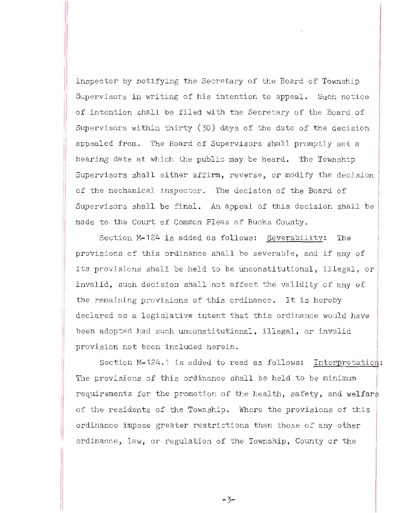inspector by notifying the Secretary of the Board of Township Supervisors in writing of his intention to appeal. Such notice of intention shall be filed with the Secretary of the Board of Supervisors within thirty  $(30)$  days of the date of the decision appealed from. The Board of Supervisors shall promptly set a hearing date at which the public may be heard. The Township Supervisors shall either affirm, reverse, or modify the decision of the mechanical inspector. The decision of the Board of Supervisors shall be final. An appeal of this decision shall be made to the Court of Common Pleas of Bucks County.

Section M-124 is added as follows: Severability: The provisions of this ordinance shall be severable, and if any of its provisions shall be held to be unconstitutional, illegal, or invalid, such decision shall not affect the validity of any of the remaining provisions of this ordinance. It is hereby declared as a legislative intent that this ordinance would have been adopted had such unconstitutional, illegal, or invalid provision not been included herein .

Section M-124.1 is added to read as follows: Interpretation: The provisions of this ordinance shall be held to be minimum requirements for the promotion of the health, safety, and welfare of the residents of the Township. Where the provisions of this ordinance impose greater restrictions than those of any other ordinance, law, or regulation of the Township, County or the

-3-